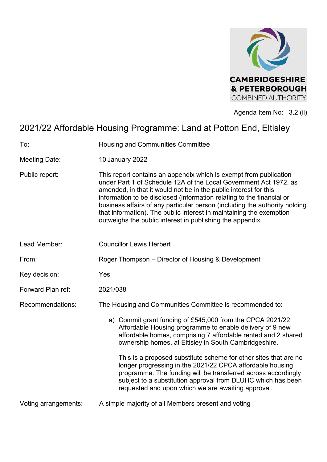

Agenda Item No: 3.2 (ii)

# 2021/22 Affordable Housing Programme: Land at Potton End, Eltisley

To: Housing and Communities Committee

- Meeting Date: 10 January 2022
- Public report: This report contains an appendix which is exempt from publication under Part 1 of Schedule 12A of the Local Government Act 1972, as amended, in that it would not be in the public interest for this information to be disclosed (information relating to the financial or business affairs of any particular person (including the authority holding that information). The public interest in maintaining the exemption outweighs the public interest in publishing the appendix.
- Lead Member: Councillor Lewis Herbert
- From: Roger Thompson Director of Housing & Development
- Key decision: Yes
- Forward Plan ref: 2021/038
- Recommendations: The Housing and Communities Committee is recommended to:
	- a) Commit grant funding of £545,000 from the CPCA 2021/22 Affordable Housing programme to enable delivery of 9 new affordable homes, comprising 7 affordable rented and 2 shared ownership homes, at Eltisley in South Cambridgeshire.

This is a proposed substitute scheme for other sites that are no longer progressing in the 2021/22 CPCA affordable housing programme. The funding will be transferred across accordingly, subject to a substitution approval from DLUHC which has been requested and upon which we are awaiting approval.

Voting arrangements: A simple majority of all Members present and voting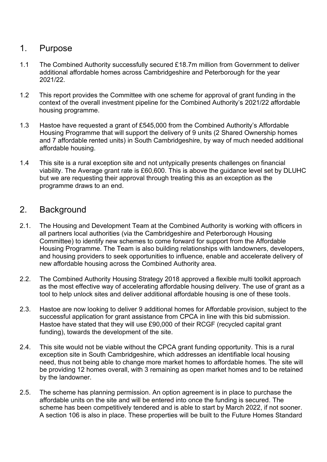#### 1. Purpose

- 1.1 The Combined Authority successfully secured £18.7m million from Government to deliver additional affordable homes across Cambridgeshire and Peterborough for the year 2021/22.
- 1.2 This report provides the Committee with one scheme for approval of grant funding in the context of the overall investment pipeline for the Combined Authority's 2021/22 affordable housing programme.
- 1.3 Hastoe have requested a grant of £545,000 from the Combined Authority's Affordable Housing Programme that will support the delivery of 9 units (2 Shared Ownership homes and 7 affordable rented units) in South Cambridgeshire, by way of much needed additional affordable housing.
- 1.4 This site is a rural exception site and not untypically presents challenges on financial viability. The Average grant rate is £60,600. This is above the guidance level set by DLUHC but we are requesting their approval through treating this as an exception as the programme draws to an end.

## 2. Background

- 2.1. The Housing and Development Team at the Combined Authority is working with officers in all partners local authorities (via the Cambridgeshire and Peterborough Housing Committee) to identify new schemes to come forward for support from the Affordable Housing Programme. The Team is also building relationships with landowners, developers, and housing providers to seek opportunities to influence, enable and accelerate delivery of new affordable housing across the Combined Authority area.
- 2.2. The Combined Authority Housing Strategy 2018 approved a flexible multi toolkit approach as the most effective way of accelerating affordable housing delivery. The use of grant as a tool to help unlock sites and deliver additional affordable housing is one of these tools.
- 2.3. Hastoe are now looking to deliver 9 additional homes for Affordable provision, subject to the successful application for grant assistance from CPCA in line with this bid submission. Hastoe have stated that they will use £90,000 of their RCGF (recycled capital grant funding), towards the development of the site.
- 2.4. This site would not be viable without the CPCA grant funding opportunity. This is a rural exception site in South Cambridgeshire, which addresses an identifiable local housing need, thus not being able to change more market homes to affordable homes. The site will be providing 12 homes overall, with 3 remaining as open market homes and to be retained by the landowner.
- 2.5. The scheme has planning permission. An option agreement is in place to purchase the affordable units on the site and will be entered into once the funding is secured. The scheme has been competitively tendered and is able to start by March 2022, if not sooner. A section 106 is also in place. These properties will be built to the Future Homes Standard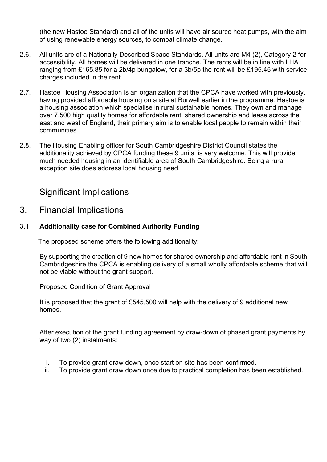(the new Hastoe Standard) and all of the units will have air source heat pumps, with the aim of using renewable energy sources, to combat climate change.

- 2.6. All units are of a Nationally Described Space Standards. All units are M4 (2), Category 2 for accessibility. All homes will be delivered in one tranche. The rents will be in line with LHA ranging from £165.85 for a 2b/4p bungalow, for a 3b/5p the rent will be £195.46 with service charges included in the rent.
- 2.7. Hastoe Housing Association is an organization that the CPCA have worked with previously, having provided affordable housing on a site at Burwell earlier in the programme. Hastoe is a housing association which specialise in rural sustainable homes. They own and manage over 7,500 high quality homes for affordable rent, shared ownership and lease across the east and west of England, their primary aim is to enable local people to remain within their communities.
- 2.8. The Housing Enabling officer for South Cambridgeshire District Council states the additionality achieved by CPCA funding these 9 units, is very welcome. This will provide much needed housing in an identifiable area of South Cambridgeshire. Being a rural exception site does address local housing need.

#### Significant Implications

#### 3. Financial Implications

#### 3.1 **Additionality case for Combined Authority Funding**

The proposed scheme offers the following additionality:

By supporting the creation of 9 new homes for shared ownership and affordable rent in South Cambridgeshire the CPCA is enabling delivery of a small wholly affordable scheme that will not be viable without the grant support.

Proposed Condition of Grant Approval

It is proposed that the grant of £545,500 will help with the delivery of 9 additional new homes.

After execution of the grant funding agreement by draw-down of phased grant payments by way of two (2) instalments:

- i. To provide grant draw down, once start on site has been confirmed.
- ii. To provide grant draw down once due to practical completion has been established.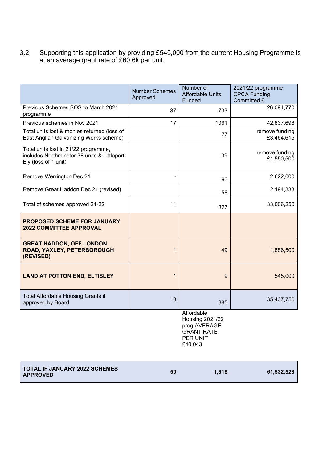3.2 Supporting this application by providing £545,000 from the current Housing Programme is at an average grant rate of £60.6k per unit.

|                                                                                                             | <b>Number Schemes</b><br>Approved | Number of<br><b>Affordable Units</b><br>Funded                                                   | 2021/22 programme<br><b>CPCA Funding</b><br>Committed £ |
|-------------------------------------------------------------------------------------------------------------|-----------------------------------|--------------------------------------------------------------------------------------------------|---------------------------------------------------------|
| Previous Schemes SOS to March 2021<br>programme                                                             | 37                                | 733                                                                                              | 26,094,770                                              |
| Previous schemes in Nov 2021                                                                                | 17                                | 1061                                                                                             | 42,837,698                                              |
| Total units lost & monies returned (loss of<br>East Anglian Galvanizing Works scheme)                       |                                   | 77                                                                                               | remove funding<br>£3,464,615                            |
| Total units lost in 21/22 programme,<br>includes Northminster 38 units & Littleport<br>Ely (loss of 1 unit) |                                   | 39                                                                                               | remove funding<br>£1,550,500                            |
| Remove Werrington Dec 21                                                                                    |                                   | 60                                                                                               | 2,622,000                                               |
| Remove Great Haddon Dec 21 (revised)                                                                        |                                   | 58                                                                                               | 2,194,333                                               |
| Total of schemes approved 21-22                                                                             | 11                                | 827                                                                                              | 33,006,250                                              |
| PROPOSED SCHEME FOR JANUARY<br><b>2022 COMMITTEE APPROVAL</b>                                               |                                   |                                                                                                  |                                                         |
| <b>GREAT HADDON, OFF LONDON</b><br>ROAD, YAXLEY, PETERBOROUGH<br>(REVISED)                                  | 1                                 | 49                                                                                               | 1,886,500                                               |
| <b>LAND AT POTTON END, ELTISLEY</b>                                                                         | $\mathbf{1}$                      | 9                                                                                                | 545,000                                                 |
| Total Affordable Housing Grants if<br>approved by Board                                                     | 13                                | 885                                                                                              | 35,437,750                                              |
|                                                                                                             |                                   | Affordable<br><b>Housing 2021/22</b><br>prog AVERAGE<br><b>GRANT RATE</b><br>PER UNIT<br>£40,043 |                                                         |

| <b>TOTAL IF JANUARY 2022 SCHEMES</b><br><b>APPROVED</b> | 50 | 1.618 | 61,532,528 |
|---------------------------------------------------------|----|-------|------------|
|                                                         |    |       |            |